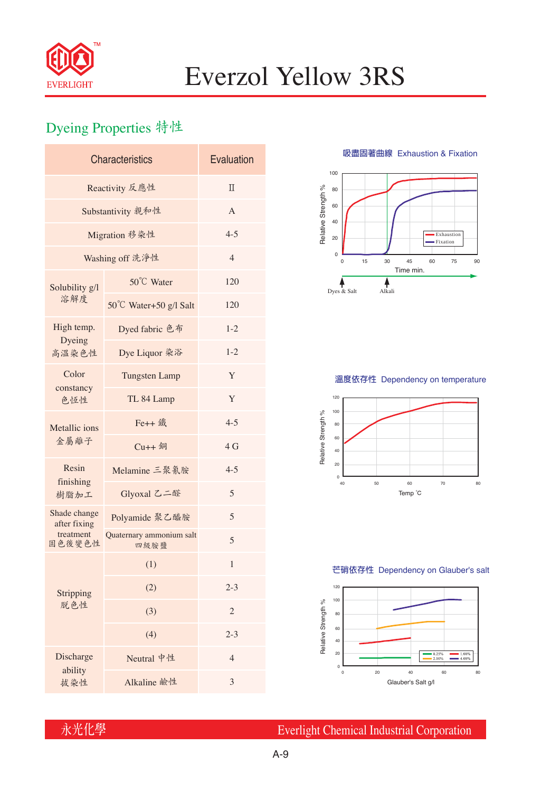

# Everzol Yellow 3RS

## Dyeing Properties 特性

| <b>Characteristics</b>       | Evaluation                       |                |  |  |  |
|------------------------------|----------------------------------|----------------|--|--|--|
| Reactivity 反應性               | $\Pi$                            |                |  |  |  |
| Substantivity 親和性            | A                                |                |  |  |  |
| Migration 移染性                | $4 - 5$                          |                |  |  |  |
| Washing off 洗淨性              | $\overline{4}$                   |                |  |  |  |
| Solubility g/l               | 50°C Water                       | 120            |  |  |  |
| 溶解度                          | 50°C Water+50 g/l Salt           | 120            |  |  |  |
| High temp.                   | Dyed fabric 色布                   | $1 - 2$        |  |  |  |
| Dyeing<br>高溫染色性              | Dye Liquor 染浴                    | $1 - 2$        |  |  |  |
| Color                        | <b>Tungsten Lamp</b>             | Y              |  |  |  |
| constancy<br>色恆性             | TL 84 Lamp                       | Y              |  |  |  |
| Metallic ions                | Fe++ 鐵                           | $4 - 5$        |  |  |  |
| 金屬離子                         | $Cu++4$                          | 4 <sub>G</sub> |  |  |  |
| Resin                        | Melamine 三聚氰胺                    | $4 - 5$        |  |  |  |
| finishing<br>樹脂加工            | Glyoxal 乙二醛                      | 5              |  |  |  |
| Shade change<br>after fixing | Polyamide 聚乙醯胺                   | 5              |  |  |  |
| treatment<br>固色後變色性          | Quaternary ammonium salt<br>四級胺鹽 | 5              |  |  |  |
|                              | (1)                              | 1              |  |  |  |
| Stripping                    | (2)                              | $2 - 3$        |  |  |  |
| 脱色性                          | (3)                              | 2              |  |  |  |
|                              | (4)                              | $2 - 3$        |  |  |  |
| Discharge                    | Neutral 中性                       | $\overline{4}$ |  |  |  |
| ability<br>拔染性               | Alkaline 鹼性                      | 3              |  |  |  |

**吸盡固著曲線** Exhaustion & Fixation



### **溫度依存性** Dependency on temperature



#### **芒硝依存性** Dependency on Glauber's salt